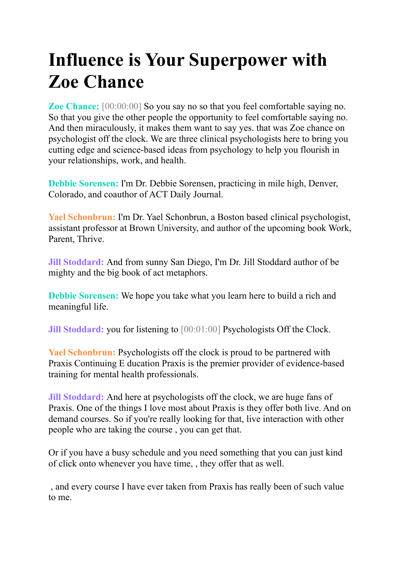# **Influence is Your Superpower with Zoe Chance**

**Zoe Chance:** [00:00:00] So you say no so that you feel comfortable saying no. So that you give the other people the opportunity to feel comfortable saying no. And then miraculously, it makes them want to say yes. that was Zoe chance on psychologist off the clock. We are three clinical psychologists here to bring you cutting edge and science-based ideas from psychology to help you flourish in your relationships, work, and health.

**Debbie Sorensen:** I'm Dr. Debbie Sorensen, practicing in mile high, Denver, Colorado, and coauthor of ACT Daily Journal.

**Yael Schonbrun:** I'm Dr. Yael Schonbrun, a Boston based clinical psychologist, assistant professor at Brown University, and author of the upcoming book Work, Parent, Thrive.

**Jill Stoddard:** And from sunny San Diego, I'm Dr. Jill Stoddard author of be mighty and the big book of act metaphors.

**Debbie Sorensen:** We hope you take what you learn here to build a rich and meaningful life.

**Jill Stoddard:** you for listening to [00:01:00] Psychologists Off the Clock.

**Yael Schonbrun:** Psychologists off the clock is proud to be partnered with Praxis Continuing E ducation Praxis is the premier provider of evidence-based training for mental health professionals.

**Jill Stoddard:** And here at psychologists off the clock, we are huge fans of Praxis. One of the things I love most about Praxis is they offer both live. And on demand courses. So if you're really looking for that, live interaction with other people who are taking the course , you can get that.

Or if you have a busy schedule and you need something that you can just kind of click onto whenever you have time, , they offer that as well.

, and every course I have ever taken from Praxis has really been of such value to me.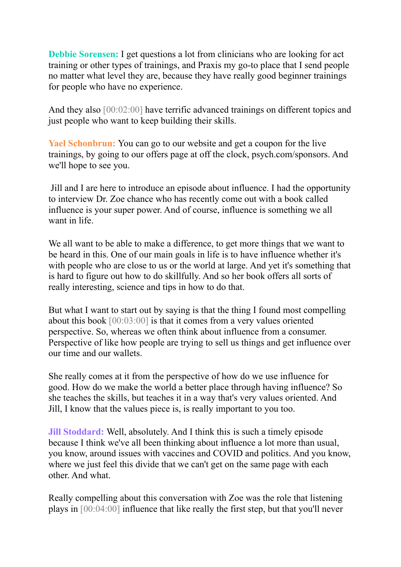**Debbie Sorensen:** I get questions a lot from clinicians who are looking for act training or other types of trainings, and Praxis my go-to place that I send people no matter what level they are, because they have really good beginner trainings for people who have no experience.

And they also [00:02:00] have terrific advanced trainings on different topics and just people who want to keep building their skills.

**Yael Schonbrun:** You can go to our website and get a coupon for the live trainings, by going to our offers page at off the clock, psych.com/sponsors. And we'll hope to see you.

Jill and I are here to introduce an episode about influence. I had the opportunity to interview Dr. Zoe chance who has recently come out with a book called influence is your super power. And of course, influence is something we all want in life.

We all want to be able to make a difference, to get more things that we want to be heard in this. One of our main goals in life is to have influence whether it's with people who are close to us or the world at large. And yet it's something that is hard to figure out how to do skillfully. And so her book offers all sorts of really interesting, science and tips in how to do that.

But what I want to start out by saying is that the thing I found most compelling about this book [00:03:00] is that it comes from a very values oriented perspective. So, whereas we often think about influence from a consumer. Perspective of like how people are trying to sell us things and get influence over our time and our wallets.

She really comes at it from the perspective of how do we use influence for good. How do we make the world a better place through having influence? So she teaches the skills, but teaches it in a way that's very values oriented. And Jill, I know that the values piece is, is really important to you too.

**Jill Stoddard:** Well, absolutely. And I think this is such a timely episode because I think we've all been thinking about influence a lot more than usual, you know, around issues with vaccines and COVID and politics. And you know, where we just feel this divide that we can't get on the same page with each other. And what.

Really compelling about this conversation with Zoe was the role that listening plays in [00:04:00] influence that like really the first step, but that you'll never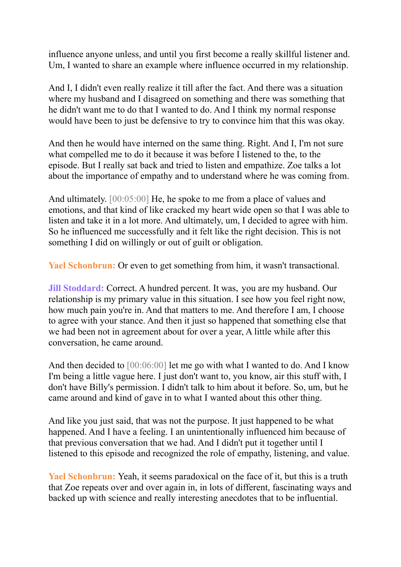influence anyone unless, and until you first become a really skillful listener and. Um, I wanted to share an example where influence occurred in my relationship.

And I, I didn't even really realize it till after the fact. And there was a situation where my husband and I disagreed on something and there was something that he didn't want me to do that I wanted to do. And I think my normal response would have been to just be defensive to try to convince him that this was okay.

And then he would have interned on the same thing. Right. And I, I'm not sure what compelled me to do it because it was before I listened to the, to the episode. But I really sat back and tried to listen and empathize. Zoe talks a lot about the importance of empathy and to understand where he was coming from.

And ultimately. [00:05:00] He, he spoke to me from a place of values and emotions, and that kind of like cracked my heart wide open so that I was able to listen and take it in a lot more. And ultimately, um, I decided to agree with him. So he influenced me successfully and it felt like the right decision. This is not something I did on willingly or out of guilt or obligation.

**Yael Schonbrun:** Or even to get something from him, it wasn't transactional.

**Jill Stoddard:** Correct. A hundred percent. It was, you are my husband. Our relationship is my primary value in this situation. I see how you feel right now, how much pain you're in. And that matters to me. And therefore I am, I choose to agree with your stance. And then it just so happened that something else that we had been not in agreement about for over a year, A little while after this conversation, he came around.

And then decided to  $[00:06:00]$  let me go with what I wanted to do. And I know I'm being a little vague here. I just don't want to, you know, air this stuff with, I don't have Billy's permission. I didn't talk to him about it before. So, um, but he came around and kind of gave in to what I wanted about this other thing.

And like you just said, that was not the purpose. It just happened to be what happened. And I have a feeling. I an unintentionally influenced him because of that previous conversation that we had. And I didn't put it together until I listened to this episode and recognized the role of empathy, listening, and value.

**Yael Schonbrun:** Yeah, it seems paradoxical on the face of it, but this is a truth that Zoe repeats over and over again in, in lots of different, fascinating ways and backed up with science and really interesting anecdotes that to be influential.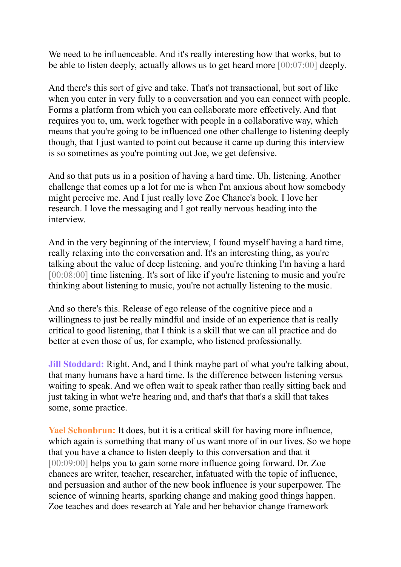We need to be influenceable. And it's really interesting how that works, but to be able to listen deeply, actually allows us to get heard more [00:07:00] deeply.

And there's this sort of give and take. That's not transactional, but sort of like when you enter in very fully to a conversation and you can connect with people. Forms a platform from which you can collaborate more effectively. And that requires you to, um, work together with people in a collaborative way, which means that you're going to be influenced one other challenge to listening deeply though, that I just wanted to point out because it came up during this interview is so sometimes as you're pointing out Joe, we get defensive.

And so that puts us in a position of having a hard time. Uh, listening. Another challenge that comes up a lot for me is when I'm anxious about how somebody might perceive me. And I just really love Zoe Chance's book. I love her research. I love the messaging and I got really nervous heading into the interview.

And in the very beginning of the interview, I found myself having a hard time, really relaxing into the conversation and. It's an interesting thing, as you're talking about the value of deep listening, and you're thinking I'm having a hard [00:08:00] time listening. It's sort of like if you're listening to music and you're thinking about listening to music, you're not actually listening to the music.

And so there's this. Release of ego release of the cognitive piece and a willingness to just be really mindful and inside of an experience that is really critical to good listening, that I think is a skill that we can all practice and do better at even those of us, for example, who listened professionally.

**Jill Stoddard:** Right. And, and I think maybe part of what you're talking about, that many humans have a hard time. Is the difference between listening versus waiting to speak. And we often wait to speak rather than really sitting back and just taking in what we're hearing and, and that's that that's a skill that takes some, some practice.

**Yael Schonbrun:** It does, but it is a critical skill for having more influence, which again is something that many of us want more of in our lives. So we hope that you have a chance to listen deeply to this conversation and that it [00:09:00] helps you to gain some more influence going forward. Dr. Zoe chances are writer, teacher, researcher, infatuated with the topic of influence, and persuasion and author of the new book influence is your superpower. The science of winning hearts, sparking change and making good things happen. Zoe teaches and does research at Yale and her behavior change framework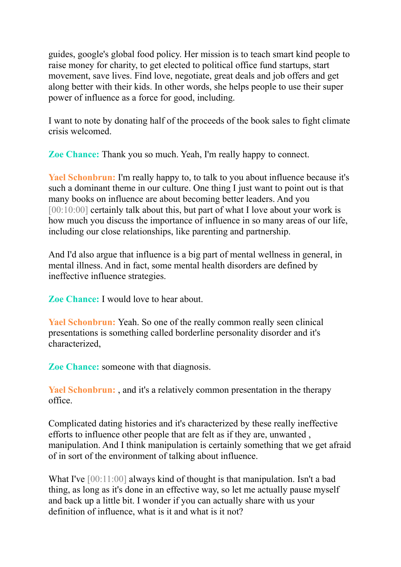guides, google's global food policy. Her mission is to teach smart kind people to raise money for charity, to get elected to political office fund startups, start movement, save lives. Find love, negotiate, great deals and job offers and get along better with their kids. In other words, she helps people to use their super power of influence as a force for good, including.

I want to note by donating half of the proceeds of the book sales to fight climate crisis welcomed.

**Zoe Chance:** Thank you so much. Yeah, I'm really happy to connect.

**Yael Schonbrun:** I'm really happy to, to talk to you about influence because it's such a dominant theme in our culture. One thing I just want to point out is that many books on influence are about becoming better leaders. And you [00:10:00] certainly talk about this, but part of what I love about your work is how much you discuss the importance of influence in so many areas of our life, including our close relationships, like parenting and partnership.

And I'd also argue that influence is a big part of mental wellness in general, in mental illness. And in fact, some mental health disorders are defined by ineffective influence strategies.

**Zoe Chance:** I would love to hear about.

**Yael Schonbrun:** Yeah. So one of the really common really seen clinical presentations is something called borderline personality disorder and it's characterized,

**Zoe Chance:** someone with that diagnosis.

**Yael Schonbrun:** , and it's a relatively common presentation in the therapy office.

Complicated dating histories and it's characterized by these really ineffective efforts to influence other people that are felt as if they are, unwanted , manipulation. And I think manipulation is certainly something that we get afraid of in sort of the environment of talking about influence.

What I've [00:11:00] always kind of thought is that manipulation. Isn't a bad thing, as long as it's done in an effective way, so let me actually pause myself and back up a little bit. I wonder if you can actually share with us your definition of influence, what is it and what is it not?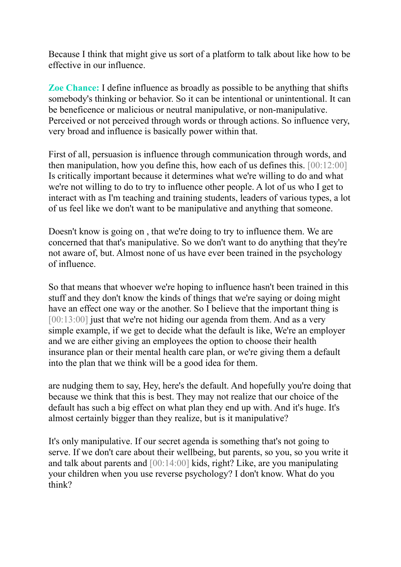Because I think that might give us sort of a platform to talk about like how to be effective in our influence.

**Zoe Chance:** I define influence as broadly as possible to be anything that shifts somebody's thinking or behavior. So it can be intentional or unintentional. It can be beneficence or malicious or neutral manipulative, or non-manipulative. Perceived or not perceived through words or through actions. So influence very, very broad and influence is basically power within that.

First of all, persuasion is influence through communication through words, and then manipulation, how you define this, how each of us defines this. [00:12:00] Is critically important because it determines what we're willing to do and what we're not willing to do to try to influence other people. A lot of us who I get to interact with as I'm teaching and training students, leaders of various types, a lot of us feel like we don't want to be manipulative and anything that someone.

Doesn't know is going on , that we're doing to try to influence them. We are concerned that that's manipulative. So we don't want to do anything that they're not aware of, but. Almost none of us have ever been trained in the psychology of influence.

So that means that whoever we're hoping to influence hasn't been trained in this stuff and they don't know the kinds of things that we're saying or doing might have an effect one way or the another. So I believe that the important thing is [00:13:00] just that we're not hiding our agenda from them. And as a very simple example, if we get to decide what the default is like, We're an employer and we are either giving an employees the option to choose their health insurance plan or their mental health care plan, or we're giving them a default into the plan that we think will be a good idea for them.

are nudging them to say, Hey, here's the default. And hopefully you're doing that because we think that this is best. They may not realize that our choice of the default has such a big effect on what plan they end up with. And it's huge. It's almost certainly bigger than they realize, but is it manipulative?

It's only manipulative. If our secret agenda is something that's not going to serve. If we don't care about their wellbeing, but parents, so you, so you write it and talk about parents and [00:14:00] kids, right? Like, are you manipulating your children when you use reverse psychology? I don't know. What do you think?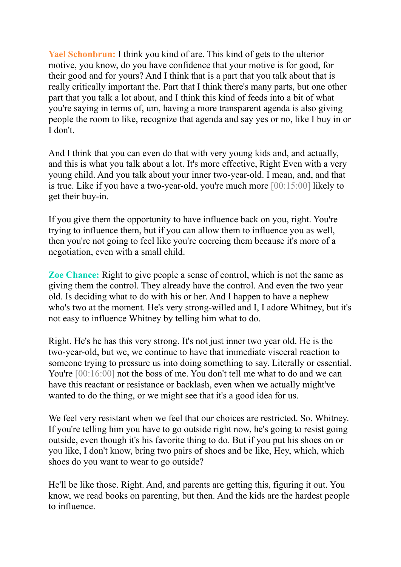**Yael Schonbrun:** I think you kind of are. This kind of gets to the ulterior motive, you know, do you have confidence that your motive is for good, for their good and for yours? And I think that is a part that you talk about that is really critically important the. Part that I think there's many parts, but one other part that you talk a lot about, and I think this kind of feeds into a bit of what you're saying in terms of, um, having a more transparent agenda is also giving people the room to like, recognize that agenda and say yes or no, like I buy in or I don't.

And I think that you can even do that with very young kids and, and actually, and this is what you talk about a lot. It's more effective, Right Even with a very young child. And you talk about your inner two-year-old. I mean, and, and that is true. Like if you have a two-year-old, you're much more [00:15:00] likely to get their buy-in.

If you give them the opportunity to have influence back on you, right. You're trying to influence them, but if you can allow them to influence you as well, then you're not going to feel like you're coercing them because it's more of a negotiation, even with a small child.

**Zoe Chance:** Right to give people a sense of control, which is not the same as giving them the control. They already have the control. And even the two year old. Is deciding what to do with his or her. And I happen to have a nephew who's two at the moment. He's very strong-willed and I, I adore Whitney, but it's not easy to influence Whitney by telling him what to do.

Right. He's he has this very strong. It's not just inner two year old. He is the two-year-old, but we, we continue to have that immediate visceral reaction to someone trying to pressure us into doing something to say. Literally or essential. You're  $[00:16:00]$  not the boss of me. You don't tell me what to do and we can have this reactant or resistance or backlash, even when we actually might've wanted to do the thing, or we might see that it's a good idea for us.

We feel very resistant when we feel that our choices are restricted. So. Whitney. If you're telling him you have to go outside right now, he's going to resist going outside, even though it's his favorite thing to do. But if you put his shoes on or you like, I don't know, bring two pairs of shoes and be like, Hey, which, which shoes do you want to wear to go outside?

He'll be like those. Right. And, and parents are getting this, figuring it out. You know, we read books on parenting, but then. And the kids are the hardest people to influence.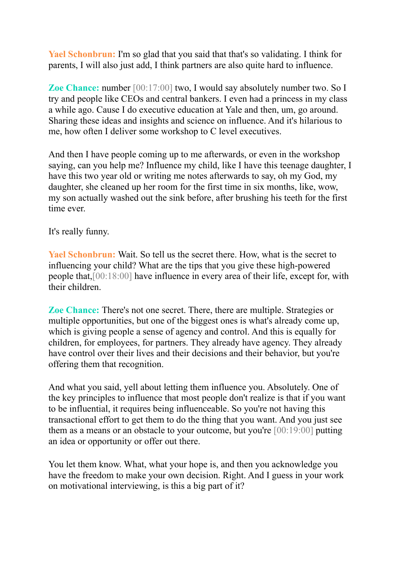**Yael Schonbrun:** I'm so glad that you said that that's so validating. I think for parents, I will also just add, I think partners are also quite hard to influence.

**Zoe Chance:** number [00:17:00] two, I would say absolutely number two. So I try and people like CEOs and central bankers. I even had a princess in my class a while ago. Cause I do executive education at Yale and then, um, go around. Sharing these ideas and insights and science on influence. And it's hilarious to me, how often I deliver some workshop to C level executives.

And then I have people coming up to me afterwards, or even in the workshop saying, can you help me? Influence my child, like I have this teenage daughter, I have this two year old or writing me notes afterwards to say, oh my God, my daughter, she cleaned up her room for the first time in six months, like, wow, my son actually washed out the sink before, after brushing his teeth for the first time ever.

It's really funny.

**Yael Schonbrun:** Wait. So tell us the secret there. How, what is the secret to influencing your child? What are the tips that you give these high-powered people that,[00:18:00] have influence in every area of their life, except for, with their children.

**Zoe Chance:** There's not one secret. There, there are multiple. Strategies or multiple opportunities, but one of the biggest ones is what's already come up, which is giving people a sense of agency and control. And this is equally for children, for employees, for partners. They already have agency. They already have control over their lives and their decisions and their behavior, but you're offering them that recognition.

And what you said, yell about letting them influence you. Absolutely. One of the key principles to influence that most people don't realize is that if you want to be influential, it requires being influenceable. So you're not having this transactional effort to get them to do the thing that you want. And you just see them as a means or an obstacle to your outcome, but you're [00:19:00] putting an idea or opportunity or offer out there.

You let them know. What, what your hope is, and then you acknowledge you have the freedom to make your own decision. Right. And I guess in your work on motivational interviewing, is this a big part of it?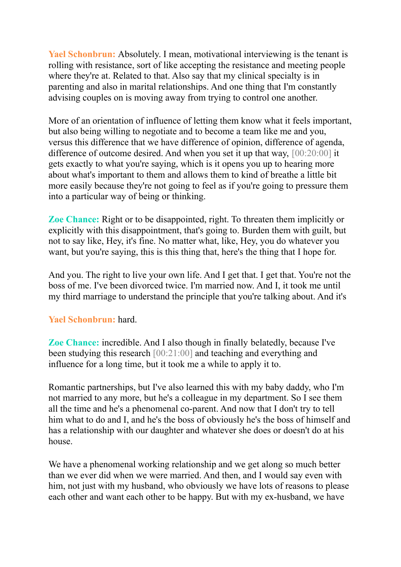**Yael Schonbrun:** Absolutely. I mean, motivational interviewing is the tenant is rolling with resistance, sort of like accepting the resistance and meeting people where they're at. Related to that. Also say that my clinical specialty is in parenting and also in marital relationships. And one thing that I'm constantly advising couples on is moving away from trying to control one another.

More of an orientation of influence of letting them know what it feels important, but also being willing to negotiate and to become a team like me and you, versus this difference that we have difference of opinion, difference of agenda, difference of outcome desired. And when you set it up that way, [00:20:00] it gets exactly to what you're saying, which is it opens you up to hearing more about what's important to them and allows them to kind of breathe a little bit more easily because they're not going to feel as if you're going to pressure them into a particular way of being or thinking.

**Zoe Chance:** Right or to be disappointed, right. To threaten them implicitly or explicitly with this disappointment, that's going to. Burden them with guilt, but not to say like, Hey, it's fine. No matter what, like, Hey, you do whatever you want, but you're saying, this is this thing that, here's the thing that I hope for.

And you. The right to live your own life. And I get that. I get that. You're not the boss of me. I've been divorced twice. I'm married now. And I, it took me until my third marriage to understand the principle that you're talking about. And it's

# **Yael Schonbrun:** hard.

**Zoe Chance:** incredible. And I also though in finally belatedly, because I've been studying this research [00:21:00] and teaching and everything and influence for a long time, but it took me a while to apply it to.

Romantic partnerships, but I've also learned this with my baby daddy, who I'm not married to any more, but he's a colleague in my department. So I see them all the time and he's a phenomenal co-parent. And now that I don't try to tell him what to do and I, and he's the boss of obviously he's the boss of himself and has a relationship with our daughter and whatever she does or doesn't do at his house.

We have a phenomenal working relationship and we get along so much better than we ever did when we were married. And then, and I would say even with him, not just with my husband, who obviously we have lots of reasons to please each other and want each other to be happy. But with my ex-husband, we have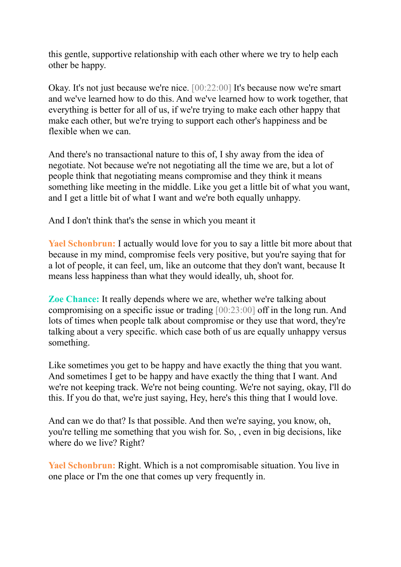this gentle, supportive relationship with each other where we try to help each other be happy.

Okay. It's not just because we're nice. [00:22:00] It's because now we're smart and we've learned how to do this. And we've learned how to work together, that everything is better for all of us, if we're trying to make each other happy that make each other, but we're trying to support each other's happiness and be flexible when we can.

And there's no transactional nature to this of, I shy away from the idea of negotiate. Not because we're not negotiating all the time we are, but a lot of people think that negotiating means compromise and they think it means something like meeting in the middle. Like you get a little bit of what you want, and I get a little bit of what I want and we're both equally unhappy.

And I don't think that's the sense in which you meant it

**Yael Schonbrun:** I actually would love for you to say a little bit more about that because in my mind, compromise feels very positive, but you're saying that for a lot of people, it can feel, um, like an outcome that they don't want, because It means less happiness than what they would ideally, uh, shoot for.

**Zoe Chance:** It really depends where we are, whether we're talking about compromising on a specific issue or trading [00:23:00] off in the long run. And lots of times when people talk about compromise or they use that word, they're talking about a very specific. which case both of us are equally unhappy versus something.

Like sometimes you get to be happy and have exactly the thing that you want. And sometimes I get to be happy and have exactly the thing that I want. And we're not keeping track. We're not being counting. We're not saying, okay, I'll do this. If you do that, we're just saying, Hey, here's this thing that I would love.

And can we do that? Is that possible. And then we're saying, you know, oh, you're telling me something that you wish for. So, , even in big decisions, like where do we live? Right?

**Yael Schonbrun:** Right. Which is a not compromisable situation. You live in one place or I'm the one that comes up very frequently in.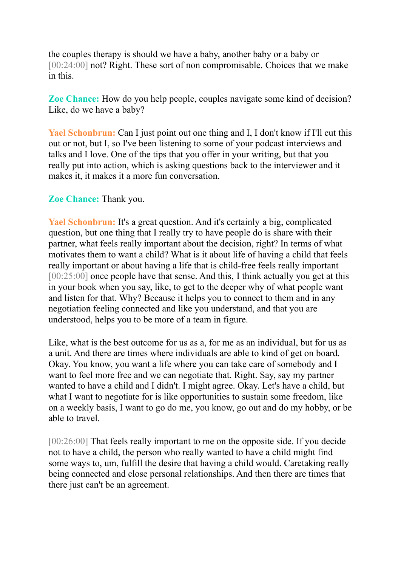the couples therapy is should we have a baby, another baby or a baby or [00:24:00] not? Right. These sort of non compromisable. Choices that we make in this.

**Zoe Chance:** How do you help people, couples navigate some kind of decision? Like, do we have a baby?

**Yael Schonbrun:** Can I just point out one thing and I, I don't know if I'll cut this out or not, but I, so I've been listening to some of your podcast interviews and talks and I love. One of the tips that you offer in your writing, but that you really put into action, which is asking questions back to the interviewer and it makes it, it makes it a more fun conversation.

# **Zoe Chance:** Thank you.

**Yael Schonbrun:** It's a great question. And it's certainly a big, complicated question, but one thing that I really try to have people do is share with their partner, what feels really important about the decision, right? In terms of what motivates them to want a child? What is it about life of having a child that feels really important or about having a life that is child-free feels really important [00:25:00] once people have that sense. And this, I think actually you get at this in your book when you say, like, to get to the deeper why of what people want and listen for that. Why? Because it helps you to connect to them and in any negotiation feeling connected and like you understand, and that you are understood, helps you to be more of a team in figure.

Like, what is the best outcome for us as a, for me as an individual, but for us as a unit. And there are times where individuals are able to kind of get on board. Okay. You know, you want a life where you can take care of somebody and I want to feel more free and we can negotiate that. Right. Say, say my partner wanted to have a child and I didn't. I might agree. Okay. Let's have a child, but what I want to negotiate for is like opportunities to sustain some freedom, like on a weekly basis, I want to go do me, you know, go out and do my hobby, or be able to travel.

[00:26:00] That feels really important to me on the opposite side. If you decide not to have a child, the person who really wanted to have a child might find some ways to, um, fulfill the desire that having a child would. Caretaking really being connected and close personal relationships. And then there are times that there just can't be an agreement.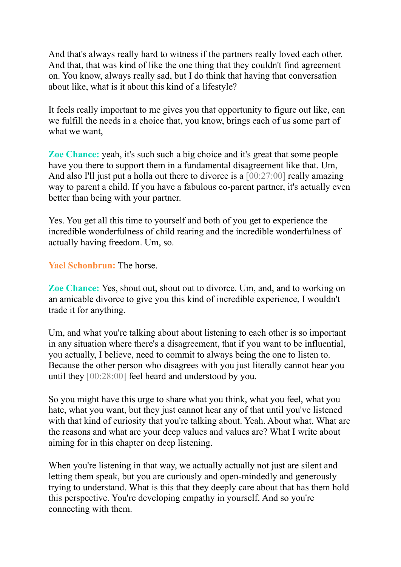And that's always really hard to witness if the partners really loved each other. And that, that was kind of like the one thing that they couldn't find agreement on. You know, always really sad, but I do think that having that conversation about like, what is it about this kind of a lifestyle?

It feels really important to me gives you that opportunity to figure out like, can we fulfill the needs in a choice that, you know, brings each of us some part of what we want,

**Zoe Chance:** yeah, it's such such a big choice and it's great that some people have you there to support them in a fundamental disagreement like that. Um, And also I'll just put a holla out there to divorce is a [00:27:00] really amazing way to parent a child. If you have a fabulous co-parent partner, it's actually even better than being with your partner.

Yes. You get all this time to yourself and both of you get to experience the incredible wonderfulness of child rearing and the incredible wonderfulness of actually having freedom. Um, so.

**Yael Schonbrun:** The horse.

**Zoe Chance:** Yes, shout out, shout out to divorce. Um, and, and to working on an amicable divorce to give you this kind of incredible experience, I wouldn't trade it for anything.

Um, and what you're talking about about listening to each other is so important in any situation where there's a disagreement, that if you want to be influential, you actually, I believe, need to commit to always being the one to listen to. Because the other person who disagrees with you just literally cannot hear you until they [00:28:00] feel heard and understood by you.

So you might have this urge to share what you think, what you feel, what you hate, what you want, but they just cannot hear any of that until you've listened with that kind of curiosity that you're talking about. Yeah. About what. What are the reasons and what are your deep values and values are? What I write about aiming for in this chapter on deep listening.

When you're listening in that way, we actually actually not just are silent and letting them speak, but you are curiously and open-mindedly and generously trying to understand. What is this that they deeply care about that has them hold this perspective. You're developing empathy in yourself. And so you're connecting with them.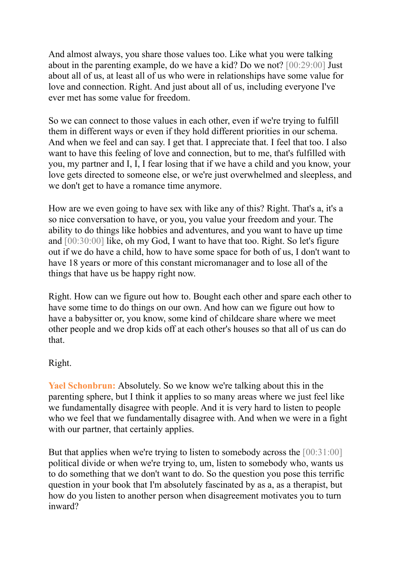And almost always, you share those values too. Like what you were talking about in the parenting example, do we have a kid? Do we not? [00:29:00] Just about all of us, at least all of us who were in relationships have some value for love and connection. Right. And just about all of us, including everyone I've ever met has some value for freedom.

So we can connect to those values in each other, even if we're trying to fulfill them in different ways or even if they hold different priorities in our schema. And when we feel and can say. I get that. I appreciate that. I feel that too. I also want to have this feeling of love and connection, but to me, that's fulfilled with you, my partner and I, I, I fear losing that if we have a child and you know, your love gets directed to someone else, or we're just overwhelmed and sleepless, and we don't get to have a romance time anymore.

How are we even going to have sex with like any of this? Right. That's a, it's a so nice conversation to have, or you, you value your freedom and your. The ability to do things like hobbies and adventures, and you want to have up time and [00:30:00] like, oh my God, I want to have that too. Right. So let's figure out if we do have a child, how to have some space for both of us, I don't want to have 18 years or more of this constant micromanager and to lose all of the things that have us be happy right now.

Right. How can we figure out how to. Bought each other and spare each other to have some time to do things on our own. And how can we figure out how to have a babysitter or, you know, some kind of childcare share where we meet other people and we drop kids off at each other's houses so that all of us can do that.

# Right.

**Yael Schonbrun:** Absolutely. So we know we're talking about this in the parenting sphere, but I think it applies to so many areas where we just feel like we fundamentally disagree with people. And it is very hard to listen to people who we feel that we fundamentally disagree with. And when we were in a fight with our partner, that certainly applies.

But that applies when we're trying to listen to somebody across the [00:31:00] political divide or when we're trying to, um, listen to somebody who, wants us to do something that we don't want to do. So the question you pose this terrific question in your book that I'm absolutely fascinated by as a, as a therapist, but how do you listen to another person when disagreement motivates you to turn inward?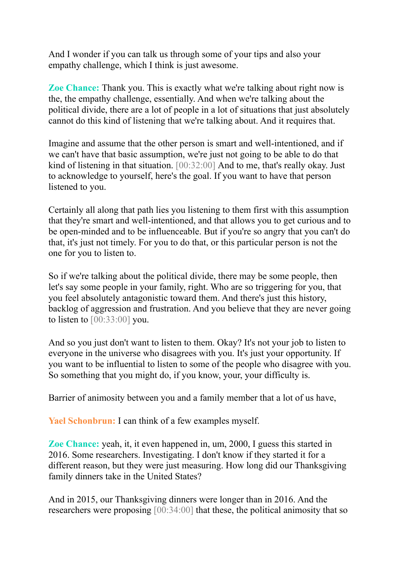And I wonder if you can talk us through some of your tips and also your empathy challenge, which I think is just awesome.

**Zoe Chance:** Thank you. This is exactly what we're talking about right now is the, the empathy challenge, essentially. And when we're talking about the political divide, there are a lot of people in a lot of situations that just absolutely cannot do this kind of listening that we're talking about. And it requires that.

Imagine and assume that the other person is smart and well-intentioned, and if we can't have that basic assumption, we're just not going to be able to do that kind of listening in that situation. [00:32:00] And to me, that's really okay. Just to acknowledge to yourself, here's the goal. If you want to have that person listened to you.

Certainly all along that path lies you listening to them first with this assumption that they're smart and well-intentioned, and that allows you to get curious and to be open-minded and to be influenceable. But if you're so angry that you can't do that, it's just not timely. For you to do that, or this particular person is not the one for you to listen to.

So if we're talking about the political divide, there may be some people, then let's say some people in your family, right. Who are so triggering for you, that you feel absolutely antagonistic toward them. And there's just this history, backlog of aggression and frustration. And you believe that they are never going to listen to  $[00:33:00]$  you.

And so you just don't want to listen to them. Okay? It's not your job to listen to everyone in the universe who disagrees with you. It's just your opportunity. If you want to be influential to listen to some of the people who disagree with you. So something that you might do, if you know, your, your difficulty is.

Barrier of animosity between you and a family member that a lot of us have,

**Yael Schonbrun:** I can think of a few examples myself.

**Zoe Chance:** yeah, it, it even happened in, um, 2000, I guess this started in 2016. Some researchers. Investigating. I don't know if they started it for a different reason, but they were just measuring. How long did our Thanksgiving family dinners take in the United States?

And in 2015, our Thanksgiving dinners were longer than in 2016. And the researchers were proposing [00:34:00] that these, the political animosity that so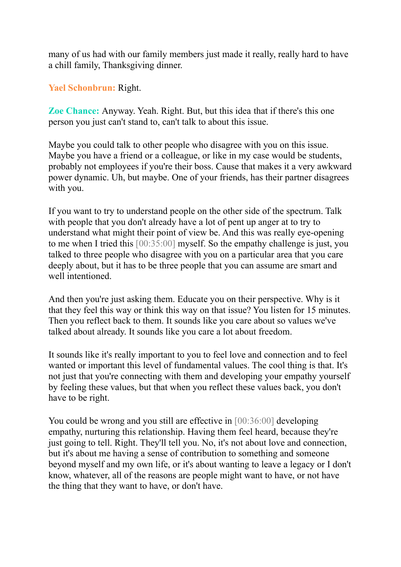many of us had with our family members just made it really, really hard to have a chill family, Thanksgiving dinner.

**Yael Schonbrun:** Right.

**Zoe Chance:** Anyway. Yeah. Right. But, but this idea that if there's this one person you just can't stand to, can't talk to about this issue.

Maybe you could talk to other people who disagree with you on this issue. Maybe you have a friend or a colleague, or like in my case would be students, probably not employees if you're their boss. Cause that makes it a very awkward power dynamic. Uh, but maybe. One of your friends, has their partner disagrees with you.

If you want to try to understand people on the other side of the spectrum. Talk with people that you don't already have a lot of pent up anger at to try to understand what might their point of view be. And this was really eye-opening to me when I tried this [00:35:00] myself. So the empathy challenge is just, you talked to three people who disagree with you on a particular area that you care deeply about, but it has to be three people that you can assume are smart and well intentioned.

And then you're just asking them. Educate you on their perspective. Why is it that they feel this way or think this way on that issue? You listen for 15 minutes. Then you reflect back to them. It sounds like you care about so values we've talked about already. It sounds like you care a lot about freedom.

It sounds like it's really important to you to feel love and connection and to feel wanted or important this level of fundamental values. The cool thing is that. It's not just that you're connecting with them and developing your empathy yourself by feeling these values, but that when you reflect these values back, you don't have to be right.

You could be wrong and you still are effective in [00:36:00] developing empathy, nurturing this relationship. Having them feel heard, because they're just going to tell. Right. They'll tell you. No, it's not about love and connection, but it's about me having a sense of contribution to something and someone beyond myself and my own life, or it's about wanting to leave a legacy or I don't know, whatever, all of the reasons are people might want to have, or not have the thing that they want to have, or don't have.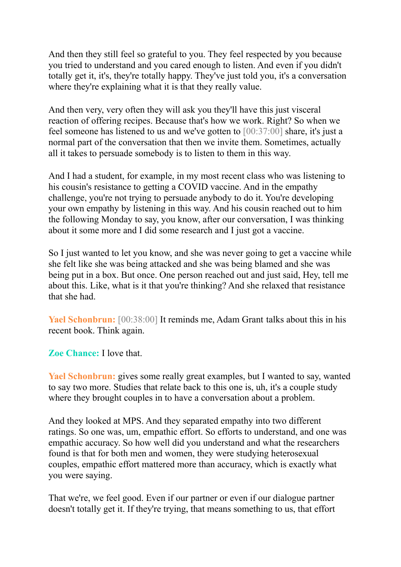And then they still feel so grateful to you. They feel respected by you because you tried to understand and you cared enough to listen. And even if you didn't totally get it, it's, they're totally happy. They've just told you, it's a conversation where they're explaining what it is that they really value.

And then very, very often they will ask you they'll have this just visceral reaction of offering recipes. Because that's how we work. Right? So when we feel someone has listened to us and we've gotten to [00:37:00] share, it's just a normal part of the conversation that then we invite them. Sometimes, actually all it takes to persuade somebody is to listen to them in this way.

And I had a student, for example, in my most recent class who was listening to his cousin's resistance to getting a COVID vaccine. And in the empathy challenge, you're not trying to persuade anybody to do it. You're developing your own empathy by listening in this way. And his cousin reached out to him the following Monday to say, you know, after our conversation, I was thinking about it some more and I did some research and I just got a vaccine.

So I just wanted to let you know, and she was never going to get a vaccine while she felt like she was being attacked and she was being blamed and she was being put in a box. But once. One person reached out and just said, Hey, tell me about this. Like, what is it that you're thinking? And she relaxed that resistance that she had.

**Yael Schonbrun:** [00:38:00] It reminds me, Adam Grant talks about this in his recent book. Think again.

**Zoe Chance:** I love that.

**Yael Schonbrun:** gives some really great examples, but I wanted to say, wanted to say two more. Studies that relate back to this one is, uh, it's a couple study where they brought couples in to have a conversation about a problem.

And they looked at MPS. And they separated empathy into two different ratings. So one was, um, empathic effort. So efforts to understand, and one was empathic accuracy. So how well did you understand and what the researchers found is that for both men and women, they were studying heterosexual couples, empathic effort mattered more than accuracy, which is exactly what you were saying.

That we're, we feel good. Even if our partner or even if our dialogue partner doesn't totally get it. If they're trying, that means something to us, that effort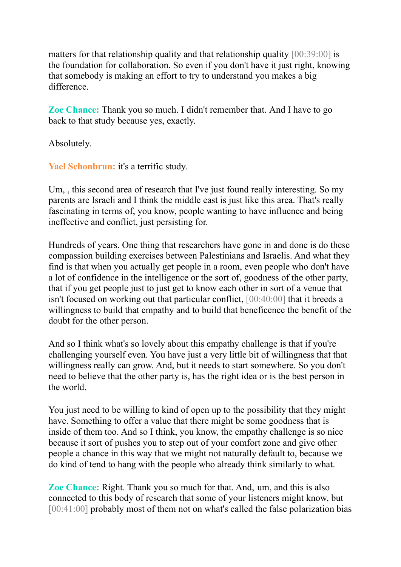matters for that relationship quality and that relationship quality [00:39:00] is the foundation for collaboration. So even if you don't have it just right, knowing that somebody is making an effort to try to understand you makes a big difference.

**Zoe Chance:** Thank you so much. I didn't remember that. And I have to go back to that study because yes, exactly.

Absolutely.

**Yael Schonbrun:** it's a terrific study.

Um, , this second area of research that I've just found really interesting. So my parents are Israeli and I think the middle east is just like this area. That's really fascinating in terms of, you know, people wanting to have influence and being ineffective and conflict, just persisting for.

Hundreds of years. One thing that researchers have gone in and done is do these compassion building exercises between Palestinians and Israelis. And what they find is that when you actually get people in a room, even people who don't have a lot of confidence in the intelligence or the sort of, goodness of the other party, that if you get people just to just get to know each other in sort of a venue that isn't focused on working out that particular conflict, [00:40:00] that it breeds a willingness to build that empathy and to build that beneficence the benefit of the doubt for the other person.

And so I think what's so lovely about this empathy challenge is that if you're challenging yourself even. You have just a very little bit of willingness that that willingness really can grow. And, but it needs to start somewhere. So you don't need to believe that the other party is, has the right idea or is the best person in the world.

You just need to be willing to kind of open up to the possibility that they might have. Something to offer a value that there might be some goodness that is inside of them too. And so I think, you know, the empathy challenge is so nice because it sort of pushes you to step out of your comfort zone and give other people a chance in this way that we might not naturally default to, because we do kind of tend to hang with the people who already think similarly to what.

**Zoe Chance:** Right. Thank you so much for that. And, um, and this is also connected to this body of research that some of your listeners might know, but [00:41:00] probably most of them not on what's called the false polarization bias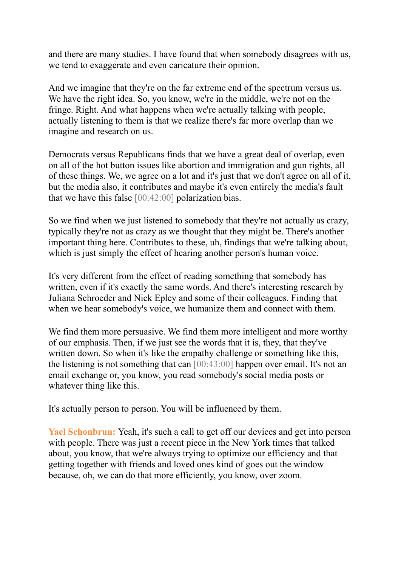and there are many studies. I have found that when somebody disagrees with us, we tend to exaggerate and even caricature their opinion.

And we imagine that they're on the far extreme end of the spectrum versus us. We have the right idea. So, you know, we're in the middle, we're not on the fringe. Right. And what happens when we're actually talking with people, actually listening to them is that we realize there's far more overlap than we imagine and research on us.

Democrats versus Republicans finds that we have a great deal of overlap, even on all of the hot button issues like abortion and immigration and gun rights, all of these things. We, we agree on a lot and it's just that we don't agree on all of it, but the media also, it contributes and maybe it's even entirely the media's fault that we have this false [00:42:00] polarization bias.

So we find when we just listened to somebody that they're not actually as crazy, typically they're not as crazy as we thought that they might be. There's another important thing here. Contributes to these, uh, findings that we're talking about, which is just simply the effect of hearing another person's human voice.

It's very different from the effect of reading something that somebody has written, even if it's exactly the same words. And there's interesting research by Juliana Schroeder and Nick Epley and some of their colleagues. Finding that when we hear somebody's voice, we humanize them and connect with them.

We find them more persuasive. We find them more intelligent and more worthy of our emphasis. Then, if we just see the words that it is, they, that they've written down. So when it's like the empathy challenge or something like this, the listening is not something that can [00:43:00] happen over email. It's not an email exchange or, you know, you read somebody's social media posts or whatever thing like this.

It's actually person to person. You will be influenced by them.

**Yael Schonbrun:** Yeah, it's such a call to get off our devices and get into person with people. There was just a recent piece in the New York times that talked about, you know, that we're always trying to optimize our efficiency and that getting together with friends and loved ones kind of goes out the window because, oh, we can do that more efficiently, you know, over zoom.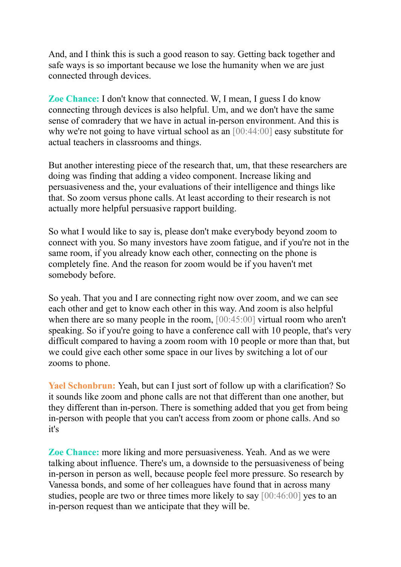And, and I think this is such a good reason to say. Getting back together and safe ways is so important because we lose the humanity when we are just connected through devices.

**Zoe Chance:** I don't know that connected. W, I mean, I guess I do know connecting through devices is also helpful. Um, and we don't have the same sense of comradery that we have in actual in-person environment. And this is why we're not going to have virtual school as an [00:44:00] easy substitute for actual teachers in classrooms and things.

But another interesting piece of the research that, um, that these researchers are doing was finding that adding a video component. Increase liking and persuasiveness and the, your evaluations of their intelligence and things like that. So zoom versus phone calls. At least according to their research is not actually more helpful persuasive rapport building.

So what I would like to say is, please don't make everybody beyond zoom to connect with you. So many investors have zoom fatigue, and if you're not in the same room, if you already know each other, connecting on the phone is completely fine. And the reason for zoom would be if you haven't met somebody before.

So yeah. That you and I are connecting right now over zoom, and we can see each other and get to know each other in this way. And zoom is also helpful when there are so many people in the room, [00:45:00] virtual room who aren't speaking. So if you're going to have a conference call with 10 people, that's very difficult compared to having a zoom room with 10 people or more than that, but we could give each other some space in our lives by switching a lot of our zooms to phone.

**Yael Schonbrun:** Yeah, but can I just sort of follow up with a clarification? So it sounds like zoom and phone calls are not that different than one another, but they different than in-person. There is something added that you get from being in-person with people that you can't access from zoom or phone calls. And so it's

**Zoe Chance:** more liking and more persuasiveness. Yeah. And as we were talking about influence. There's um, a downside to the persuasiveness of being in-person in person as well, because people feel more pressure. So research by Vanessa bonds, and some of her colleagues have found that in across many studies, people are two or three times more likely to say [00:46:00] yes to an in-person request than we anticipate that they will be.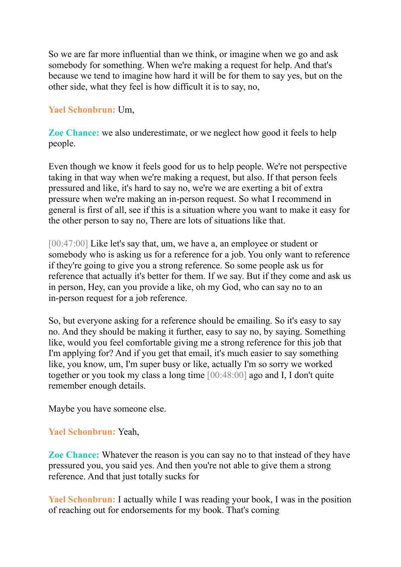So we are far more influential than we think, or imagine when we go and ask somebody for something. When we're making a request for help. And that's because we tend to imagine how hard it will be for them to say yes, but on the other side, what they feel is how difficult it is to say, no,

# **Yael Schonbrun:** Um,

**Zoe Chance:** we also underestimate, or we neglect how good it feels to help people.

Even though we know it feels good for us to help people. We're not perspective taking in that way when we're making a request, but also. If that person feels pressured and like, it's hard to say no, we're we are exerting a bit of extra pressure when we're making an in-person request. So what I recommend in general is first of all, see if this is a situation where you want to make it easy for the other person to say no, There are lots of situations like that.

[00:47:00] Like let's say that, um, we have a, an employee or student or somebody who is asking us for a reference for a job. You only want to reference if they're going to give you a strong reference. So some people ask us for reference that actually it's better for them. If we say. But if they come and ask us in person, Hey, can you provide a like, oh my God, who can say no to an in-person request for a job reference.

So, but everyone asking for a reference should be emailing. So it's easy to say no. And they should be making it further, easy to say no, by saying. Something like, would you feel comfortable giving me a strong reference for this job that I'm applying for? And if you get that email, it's much easier to say something like, you know, um, I'm super busy or like, actually I'm so sorry we worked together or you took my class a long time [00:48:00] ago and I, I don't quite remember enough details.

Maybe you have someone else.

# **Yael Schonbrun:** Yeah,

**Zoe Chance:** Whatever the reason is you can say no to that instead of they have pressured you, you said yes. And then you're not able to give them a strong reference. And that just totally sucks for

**Yael Schonbrun:** I actually while I was reading your book, I was in the position of reaching out for endorsements for my book. That's coming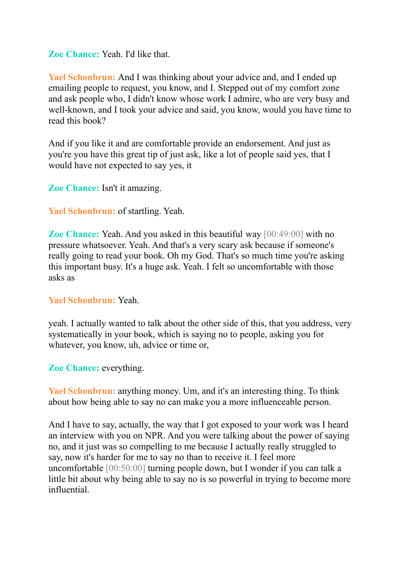# **Zoe Chance:** Yeah. I'd like that.

**Yael Schonbrun:** And I was thinking about your advice and, and I ended up emailing people to request, you know, and I. Stepped out of my comfort zone and ask people who, I didn't know whose work I admire, who are very busy and well-known, and I took your advice and said, you know, would you have time to read this book?

And if you like it and are comfortable provide an endorsement. And just as you're you have this great tip of just ask, like a lot of people said yes, that I would have not expected to say yes, it

**Zoe Chance:** Isn't it amazing.

**Yael Schonbrun:** of startling. Yeah.

**Zoe Chance:** Yeah. And you asked in this beautiful way [00:49:00] with no pressure whatsoever. Yeah. And that's a very scary ask because if someone's really going to read your book. Oh my God. That's so much time you're asking this important busy. It's a huge ask. Yeah. I felt so uncomfortable with those asks as

#### **Yael Schonbrun:** Yeah.

yeah. I actually wanted to talk about the other side of this, that you address, very systematically in your book, which is saying no to people, asking you for whatever, you know, uh, advice or time or,

# **Zoe Chance:** everything.

**Yael Schonbrun:** anything money. Um, and it's an interesting thing. To think about how being able to say no can make you a more influenceable person.

And I have to say, actually, the way that I got exposed to your work was I heard an interview with you on NPR. And you were talking about the power of saying no, and it just was so compelling to me because I actually really struggled to say, now it's harder for me to say no than to receive it. I feel more uncomfortable [00:50:00] turning people down, but I wonder if you can talk a little bit about why being able to say no is so powerful in trying to become more influential.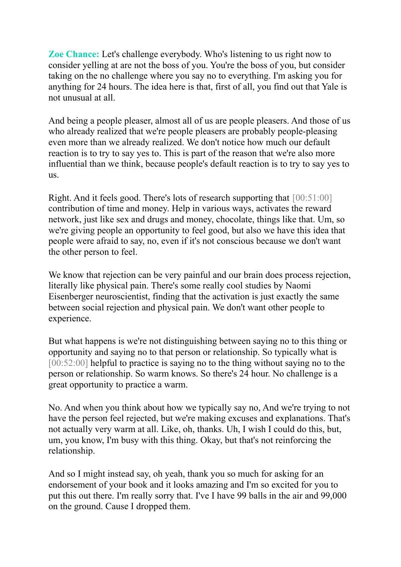**Zoe Chance:** Let's challenge everybody. Who's listening to us right now to consider yelling at are not the boss of you. You're the boss of you, but consider taking on the no challenge where you say no to everything. I'm asking you for anything for 24 hours. The idea here is that, first of all, you find out that Yale is not unusual at all.

And being a people pleaser, almost all of us are people pleasers. And those of us who already realized that we're people pleasers are probably people-pleasing even more than we already realized. We don't notice how much our default reaction is to try to say yes to. This is part of the reason that we're also more influential than we think, because people's default reaction is to try to say yes to us.

Right. And it feels good. There's lots of research supporting that [00:51:00] contribution of time and money. Help in various ways, activates the reward network, just like sex and drugs and money, chocolate, things like that. Um, so we're giving people an opportunity to feel good, but also we have this idea that people were afraid to say, no, even if it's not conscious because we don't want the other person to feel.

We know that rejection can be very painful and our brain does process rejection, literally like physical pain. There's some really cool studies by Naomi Eisenberger neuroscientist, finding that the activation is just exactly the same between social rejection and physical pain. We don't want other people to experience.

But what happens is we're not distinguishing between saying no to this thing or opportunity and saying no to that person or relationship. So typically what is [00:52:00] helpful to practice is saying no to the thing without saying no to the person or relationship. So warm knows. So there's 24 hour. No challenge is a great opportunity to practice a warm.

No. And when you think about how we typically say no, And we're trying to not have the person feel rejected, but we're making excuses and explanations. That's not actually very warm at all. Like, oh, thanks. Uh, I wish I could do this, but, um, you know, I'm busy with this thing. Okay, but that's not reinforcing the relationship.

And so I might instead say, oh yeah, thank you so much for asking for an endorsement of your book and it looks amazing and I'm so excited for you to put this out there. I'm really sorry that. I've I have 99 balls in the air and 99,000 on the ground. Cause I dropped them.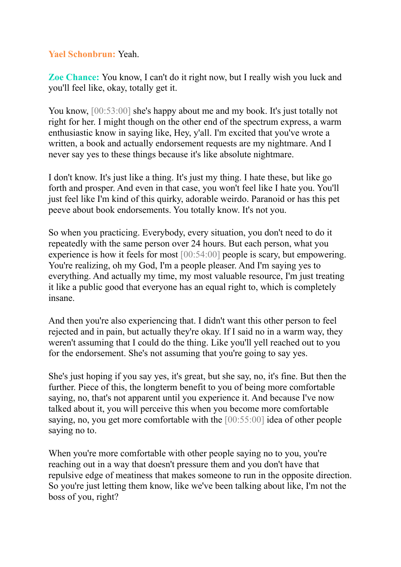# **Yael Schonbrun:** Yeah.

**Zoe Chance:** You know, I can't do it right now, but I really wish you luck and you'll feel like, okay, totally get it.

You know,  $[00:53:00]$  she's happy about me and my book. It's just totally not right for her. I might though on the other end of the spectrum express, a warm enthusiastic know in saying like, Hey, y'all. I'm excited that you've wrote a written, a book and actually endorsement requests are my nightmare. And I never say yes to these things because it's like absolute nightmare.

I don't know. It's just like a thing. It's just my thing. I hate these, but like go forth and prosper. And even in that case, you won't feel like I hate you. You'll just feel like I'm kind of this quirky, adorable weirdo. Paranoid or has this pet peeve about book endorsements. You totally know. It's not you.

So when you practicing. Everybody, every situation, you don't need to do it repeatedly with the same person over 24 hours. But each person, what you experience is how it feels for most [00:54:00] people is scary, but empowering. You're realizing, oh my God, I'm a people pleaser. And I'm saying yes to everything. And actually my time, my most valuable resource, I'm just treating it like a public good that everyone has an equal right to, which is completely insane.

And then you're also experiencing that. I didn't want this other person to feel rejected and in pain, but actually they're okay. If I said no in a warm way, they weren't assuming that I could do the thing. Like you'll yell reached out to you for the endorsement. She's not assuming that you're going to say yes.

She's just hoping if you say yes, it's great, but she say, no, it's fine. But then the further. Piece of this, the longterm benefit to you of being more comfortable saying, no, that's not apparent until you experience it. And because I've now talked about it, you will perceive this when you become more comfortable saying, no, you get more comfortable with the [00:55:00] idea of other people saying no to.

When you're more comfortable with other people saying no to you, you're reaching out in a way that doesn't pressure them and you don't have that repulsive edge of meatiness that makes someone to run in the opposite direction. So you're just letting them know, like we've been talking about like, I'm not the boss of you, right?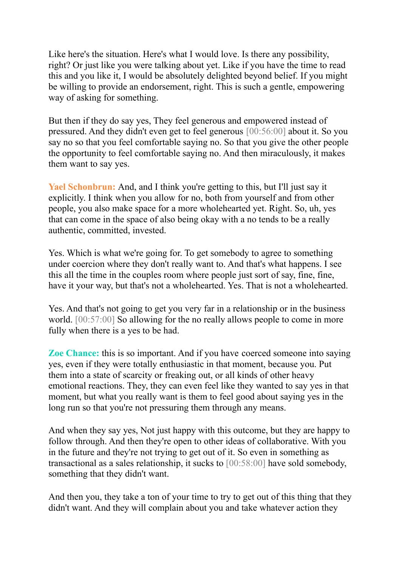Like here's the situation. Here's what I would love. Is there any possibility, right? Or just like you were talking about yet. Like if you have the time to read this and you like it, I would be absolutely delighted beyond belief. If you might be willing to provide an endorsement, right. This is such a gentle, empowering way of asking for something.

But then if they do say yes, They feel generous and empowered instead of pressured. And they didn't even get to feel generous [00:56:00] about it. So you say no so that you feel comfortable saying no. So that you give the other people the opportunity to feel comfortable saying no. And then miraculously, it makes them want to say yes.

**Yael Schonbrun:** And, and I think you're getting to this, but I'll just say it explicitly. I think when you allow for no, both from yourself and from other people, you also make space for a more wholehearted yet. Right. So, uh, yes that can come in the space of also being okay with a no tends to be a really authentic, committed, invested.

Yes. Which is what we're going for. To get somebody to agree to something under coercion where they don't really want to. And that's what happens. I see this all the time in the couples room where people just sort of say, fine, fine, have it your way, but that's not a wholehearted. Yes. That is not a wholehearted.

Yes. And that's not going to get you very far in a relationship or in the business world. [00:57:00] So allowing for the no really allows people to come in more fully when there is a yes to be had.

**Zoe Chance:** this is so important. And if you have coerced someone into saying yes, even if they were totally enthusiastic in that moment, because you. Put them into a state of scarcity or freaking out, or all kinds of other heavy emotional reactions. They, they can even feel like they wanted to say yes in that moment, but what you really want is them to feel good about saying yes in the long run so that you're not pressuring them through any means.

And when they say yes, Not just happy with this outcome, but they are happy to follow through. And then they're open to other ideas of collaborative. With you in the future and they're not trying to get out of it. So even in something as transactional as a sales relationship, it sucks to [00:58:00] have sold somebody, something that they didn't want.

And then you, they take a ton of your time to try to get out of this thing that they didn't want. And they will complain about you and take whatever action they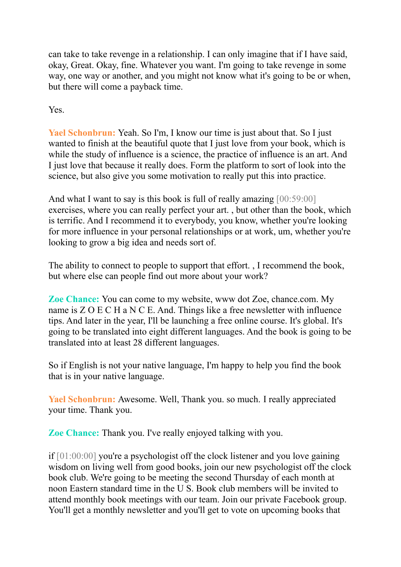can take to take revenge in a relationship. I can only imagine that if I have said, okay, Great. Okay, fine. Whatever you want. I'm going to take revenge in some way, one way or another, and you might not know what it's going to be or when, but there will come a payback time.

Yes.

**Yael Schonbrun:** Yeah. So I'm, I know our time is just about that. So I just wanted to finish at the beautiful quote that I just love from your book, which is while the study of influence is a science, the practice of influence is an art. And I just love that because it really does. Form the platform to sort of look into the science, but also give you some motivation to really put this into practice.

And what I want to say is this book is full of really amazing [00:59:00] exercises, where you can really perfect your art. , but other than the book, which is terrific. And I recommend it to everybody, you know, whether you're looking for more influence in your personal relationships or at work, um, whether you're looking to grow a big idea and needs sort of.

The ability to connect to people to support that effort. , I recommend the book, but where else can people find out more about your work?

**Zoe Chance:** You can come to my website, www dot Zoe, chance.com. My name is Z O E C H a N C E. And. Things like a free newsletter with influence tips. And later in the year, I'll be launching a free online course. It's global. It's going to be translated into eight different languages. And the book is going to be translated into at least 28 different languages.

So if English is not your native language, I'm happy to help you find the book that is in your native language.

**Yael Schonbrun:** Awesome. Well, Thank you. so much. I really appreciated your time. Thank you.

**Zoe Chance:** Thank you. I've really enjoyed talking with you.

if [01:00:00] you're a psychologist off the clock listener and you love gaining wisdom on living well from good books, join our new psychologist off the clock book club. We're going to be meeting the second Thursday of each month at noon Eastern standard time in the U S. Book club members will be invited to attend monthly book meetings with our team. Join our private Facebook group. You'll get a monthly newsletter and you'll get to vote on upcoming books that